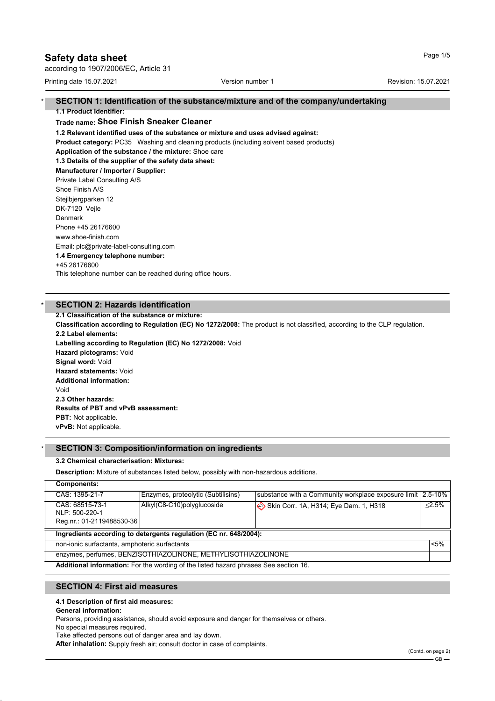# **Safety data sheet** Page 1/5

according to 1907/2006/EC, Article 31

Printing date 15.07.2021 **Version number 1** According to the Revision: 15.07.2021

#### \* **SECTION 1: Identification of the substance/mixture and of the company/undertaking 1.1 Product Identifier:**

## **Trade name: Shoe Finish Sneaker Cleaner**

**1.2 Relevant identified uses of the substance or mixture and uses advised against:**

**Product category:** PC35 Washing and cleaning products (including solvent based products)

# **Application of the substance / the mixture:** Shoe care

**1.3 Details of the supplier of the safety data sheet:**

**Manufacturer / Importer / Supplier:** Private Label Consulting A/S Shoe Finish A/S Stejlbjergparken 12 DK-7120 Vejle Denmark Phone +45 26176600 www.shoe-finish.com Email: plc@private-label-consulting.com **1.4 Emergency telephone number:** +45 26176600 This telephone number can be reached during office hours.

# **SECTION 2: Hazards identification**

**2.1 Classification of the substance or mixture:**

**Classification according to Regulation (EC) No 1272/2008:** The product is not classified, according to the CLP regulation. **2.2 Label elements:**

**Labelling according to Regulation (EC) No 1272/2008:** Void **Hazard pictograms:** Void **Signal word:** Void

**Hazard statements:** Void **Additional information:** Void **2.3 Other hazards: Results of PBT and vPvB assessment:**

**PBT:** Not applicable. **vPvB:** Not applicable.

# \* **SECTION 3: Composition/information on ingredients**

## **3.2 Chemical characterisation: Mixtures:**

**Description:** Mixture of substances listed below, possibly with non-hazardous additions.

| <b>Components:</b>                                                                         |                                    |                                                             |           |  |
|--------------------------------------------------------------------------------------------|------------------------------------|-------------------------------------------------------------|-----------|--|
| CAS: 1395-21-7                                                                             | Enzymes, proteolytic (Subtilisins) | substance with a Community workplace exposure limit 2.5-10% |           |  |
| CAS: 68515-73-1<br>NLP: 500-220-1                                                          | Alkyl(C8-C10)polyglucoside         | Skin Corr. 1A, H314; Eye Dam. 1, H318                       | $< 2.5\%$ |  |
| Reg.nr.: 01-2119488530-36                                                                  |                                    |                                                             |           |  |
| Ingredients according to detergents regulation (EC nr. 648/2004):                          |                                    |                                                             |           |  |
| non-ionic surfactants, amphoteric surfactants                                              |                                    |                                                             | $< 5\%$   |  |
| enzymes, perfumes, BENZISOTHIAZOLINONE, METHYLISOTHIAZOLINONE                              |                                    |                                                             |           |  |
| <b>Additional information:</b> For the wording of the listed hazard phrases See section 16 |                                    |                                                             |           |  |

**Additional information:** For the wording of the listed hazard phrases See section 16.

# **SECTION 4: First aid measures**

## **4.1 Description of first aid measures:**

**General information:**

Persons, providing assistance, should avoid exposure and danger for themselves or others.

No special measures required. Take affected persons out of danger area and lay down.

**After inhalation:** Supply fresh air; consult doctor in case of complaints.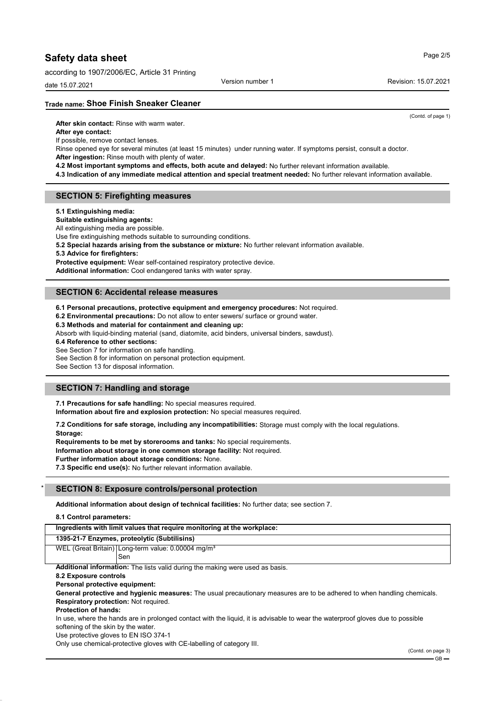according to 1907/2006/EC, Article 31 Printing

date 15.07.2021

Version number 1 **New York 1 Revision: 15.07.2021** 

**Trade name: Shoe Finish Sneaker Cleaner**

**After skin contact:** Rinse with warm water.

### **After eye contact:**

If possible, remove contact lenses.

Rinse opened eye for several minutes (at least 15 minutes) under running water. If symptoms persist, consult a doctor. **After ingestion:** Rinse mouth with plenty of water.

- **4.2 Most important symptoms and effects, both acute and delayed:** No further relevant information available.
- **4.3 Indication of any immediate medical attention and special treatment needed:** No further relevant information available.

# **SECTION 5: Firefighting measures**

**5.1 Extinguishing media:**

**Suitable extinguishing agents:**

All extinguishing media are possible.

Use fire extinguishing methods suitable to surrounding conditions.

**5.2 Special hazards arising from the substance or mixture:** No further relevant information available.

**5.3 Advice for firefighters:**

**Protective equipment:** Wear self-contained respiratory protective device.

**Additional information:** Cool endangered tanks with water spray.

# **SECTION 6: Accidental release measures**

**6.1 Personal precautions, protective equipment and emergency procedures:** Not required.

**6.2 Environmental precautions:** Do not allow to enter sewers/ surface or ground water.

**6.3 Methods and material for containment and cleaning up:**

Absorb with liquid-binding material (sand, diatomite, acid binders, universal binders, sawdust).

**6.4 Reference to other sections:**

See Section 7 for information on safe handling.

See Section 8 for information on personal protection equipment.

See Section 13 for disposal information.

# **SECTION 7: Handling and storage**

**7.1 Precautions for safe handling:** No special measures required. **Information about fire and explosion protection:** No special measures required.

**7.2 Conditions for safe storage, including any incompatibilities:** Storage must comply with the local regulations. **Storage:**

**Requirements to be met by storerooms and tanks:** No special requirements.

**Information about storage in one common storage facility:** Not required.

**Further information about storage conditions:** None.

**7.3 Specific end use(s):** No further relevant information available.

### \* **SECTION 8: Exposure controls/personal protection**

**Additional information about design of technical facilities:** No further data; see section 7.

**8.1 Control parameters:**

| Ingredients with limit values that require monitoring at the workplace:                                                         |  |  |
|---------------------------------------------------------------------------------------------------------------------------------|--|--|
| 1395-21-7 Enzymes, proteolytic (Subtilisins)                                                                                    |  |  |
| WEL (Great Britain) Long-term value: 0.00004 mg/m <sup>3</sup>                                                                  |  |  |
| Sen                                                                                                                             |  |  |
| <b>Additional information:</b> The lists valid during the making were used as basis.                                            |  |  |
| 8.2 Exposure controls                                                                                                           |  |  |
| Personal protective equipment:                                                                                                  |  |  |
| General protective and hygienic measures: The usual precautionary measures are to be adhered to when handling chemicals.        |  |  |
| <b>Respiratory protection: Not required.</b>                                                                                    |  |  |
| <b>Protection of hands:</b>                                                                                                     |  |  |
| In use, where the hands are in prolonged contact with the liquid, it is advisable to wear the waterproof gloves due to possible |  |  |
| softening of the skin by the water.                                                                                             |  |  |
| Use protective gloves to EN ISO 374-1                                                                                           |  |  |
| Only use chemical-protective gloves with CE-labelling of category III.                                                          |  |  |

Page 2/5

(Contd. of page 1)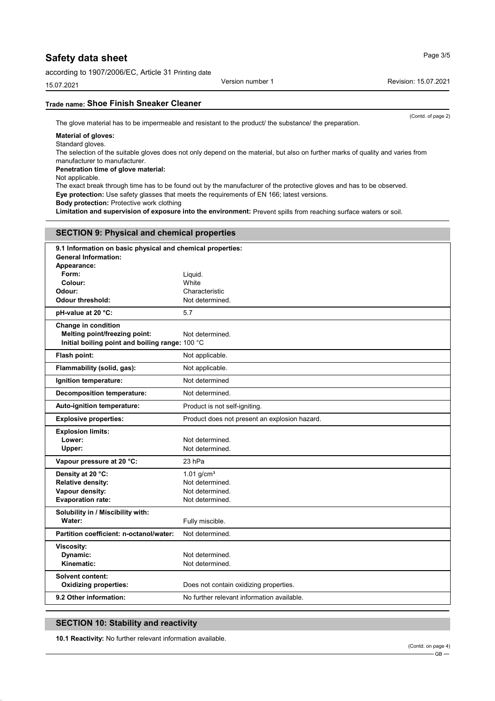according to 1907/2006/EC, Article 31 Printing date

15.07.2021

# **Trade name: Shoe Finish Sneaker Cleaner**

The glove material has to be impermeable and resistant to the product/ the substance/ the preparation.

# **Material of gloves:**

Standard gloves.

The selection of the suitable gloves does not only depend on the material, but also on further marks of quality and varies from manufacturer to manufacturer.

### **Penetration time of glove material:**

Not applicable.

The exact break through time has to be found out by the manufacturer of the protective gloves and has to be observed. **Eye protection:** Use safety glasses that meets the requirements of EN 166; latest versions.

**Body protection:** Protective work clothing

**Limitation and supervision of exposure into the environment:** Prevent spills from reaching surface waters or soil.

| <b>SECTION 9: Physical and chemical properties</b> |                                                            |  |  |
|----------------------------------------------------|------------------------------------------------------------|--|--|
| <b>General Information:</b><br>Appearance:         | 9.1 Information on basic physical and chemical properties: |  |  |
| Form:                                              | Liquid.                                                    |  |  |
| Colour:                                            | White                                                      |  |  |
| Odour:                                             | Characteristic                                             |  |  |
| Odour threshold:                                   | Not determined.                                            |  |  |
| pH-value at 20 °C:                                 | 5.7                                                        |  |  |
| Change in condition                                |                                                            |  |  |
| Melting point/freezing point:                      | Not determined.                                            |  |  |
| Initial boiling point and boiling range: 100 °C    |                                                            |  |  |
| Flash point:                                       | Not applicable.                                            |  |  |
| Flammability (solid, gas):                         | Not applicable.                                            |  |  |
| Ignition temperature:                              | Not determined                                             |  |  |
| <b>Decomposition temperature:</b>                  | Not determined.                                            |  |  |
| Auto-ignition temperature:                         | Product is not self-igniting.                              |  |  |
| <b>Explosive properties:</b>                       | Product does not present an explosion hazard.              |  |  |
| <b>Explosion limits:</b>                           |                                                            |  |  |
| Lower:                                             | Not determined.                                            |  |  |
| Upper:                                             | Not determined.                                            |  |  |
| Vapour pressure at 20 °C:                          | 23 hPa                                                     |  |  |
| Density at 20 °C:                                  | $1.01$ g/cm <sup>3</sup>                                   |  |  |
| <b>Relative density:</b>                           | Not determined.                                            |  |  |
| Vapour density:                                    | Not determined.                                            |  |  |
| <b>Evaporation rate:</b>                           | Not determined.                                            |  |  |
| Solubility in / Miscibility with:                  |                                                            |  |  |
| Water:                                             | Fully miscible.                                            |  |  |
| Partition coefficient: n-octanol/water:            | Not determined.                                            |  |  |
| <b>Viscosity:</b>                                  |                                                            |  |  |
| Dynamic:                                           | Not determined.                                            |  |  |
| Kinematic:                                         | Not determined.                                            |  |  |
| <b>Solvent content:</b>                            |                                                            |  |  |
| <b>Oxidizing properties:</b>                       | Does not contain oxidizing properties.                     |  |  |
| 9.2 Other information:                             | No further relevant information available.                 |  |  |

# **SECTION 10: Stability and reactivity**

**10.1 Reactivity:** No further relevant information available.

Version number 1 **Accord 1 Revision: 15.07.2021** 

(Contd. of page 2)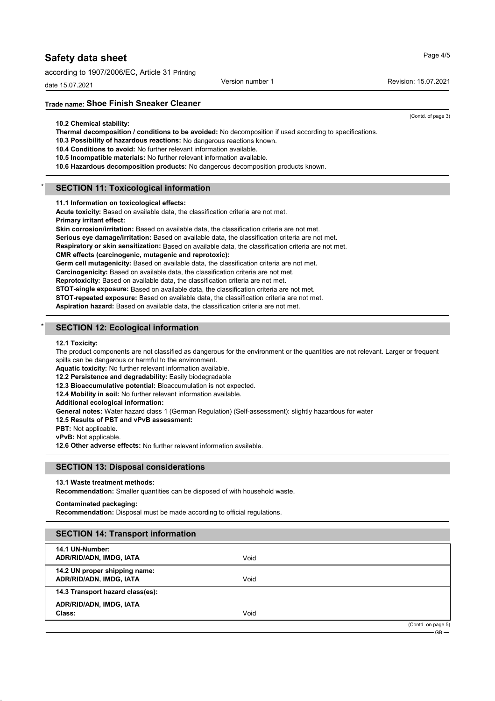according to 1907/2006/EC, Article 31 Printing

date 15.07.2021

# **Trade name: Shoe Finish Sneaker Cleaner**

**10.2 Chemical stability:**

**Thermal decomposition / conditions to be avoided:** No decomposition if used according to specifications.

**10.3 Possibility of hazardous reactions:** No dangerous reactions known.

- **10.4 Conditions to avoid:** No further relevant information available.
- **10.5 Incompatible materials:** No further relevant information available.
- **10.6 Hazardous decomposition products:** No dangerous decomposition products known.

# **SECTION 11: Toxicological information**

**11.1 Information on toxicological effects:**

**Acute toxicity:** Based on available data, the classification criteria are not met.

**Primary irritant effect: Skin corrosion/irritation:** Based on available data, the classification criteria are not met.

**Serious eye damage/irritation:** Based on available data, the classification criteria are not met.

**Respiratory or skin sensitization:** Based on available data, the classification criteria are not met.

#### **CMR effects (carcinogenic, mutagenic and reprotoxic):**

**Germ cell mutagenicity:** Based on available data, the classification criteria are not met.

**Carcinogenicity:** Based on available data, the classification criteria are not met.

**Reprotoxicity:** Based on available data, the classification criteria are not met.

**STOT-single exposure:** Based on available data, the classification criteria are not met.

**STOT-repeated exposure:** Based on available data, the classification criteria are not met.

**Aspiration hazard:** Based on available data, the classification criteria are not met.

# **SECTION 12: Ecological information**

#### **12.1 Toxicity:**

The product components are not classified as dangerous for the environment or the quantities are not relevant. Larger or frequent spills can be dangerous or harmful to the environment.

**Aquatic toxicity:** No further relevant information available.

**12.2 Persistence and degradability:** Easily biodegradable

**12.3 Bioaccumulative potential:** Bioaccumulation is not expected.

**12.4 Mobility in soil:** No further relevant information available.

**Additional ecological information:**

**General notes:** Water hazard class 1 (German Regulation) (Self-assessment): slightly hazardous for water

**12.5 Results of PBT and vPvB assessment:**

**PBT:** Not applicable.

**vPvB:** Not applicable.

**12.6 Other adverse effects:** No further relevant information available.

#### **SECTION 13: Disposal considerations**

#### **13.1 Waste treatment methods:**

**Recommendation:** Smaller quantities can be disposed of with household waste.

#### **Contaminated packaging:**

**Recommendation:** Disposal must be made according to official regulations.

## **SECTION 14: Transport information**

| 14.1 UN-Number:<br>ADR/RID/ADN, IMDG, IATA               | Void |                    |
|----------------------------------------------------------|------|--------------------|
| 14.2 UN proper shipping name:<br>ADR/RID/ADN, IMDG, IATA | Void |                    |
| 14.3 Transport hazard class(es):                         |      |                    |
| ADR/RID/ADN, IMDG, IATA<br>Class:                        | Void |                    |
|                                                          |      | (Contd. on page 5) |

# Page 4/5

Version number 1 **New York 1 Revision: 15.07.2021** 

(Contd. of page 3)